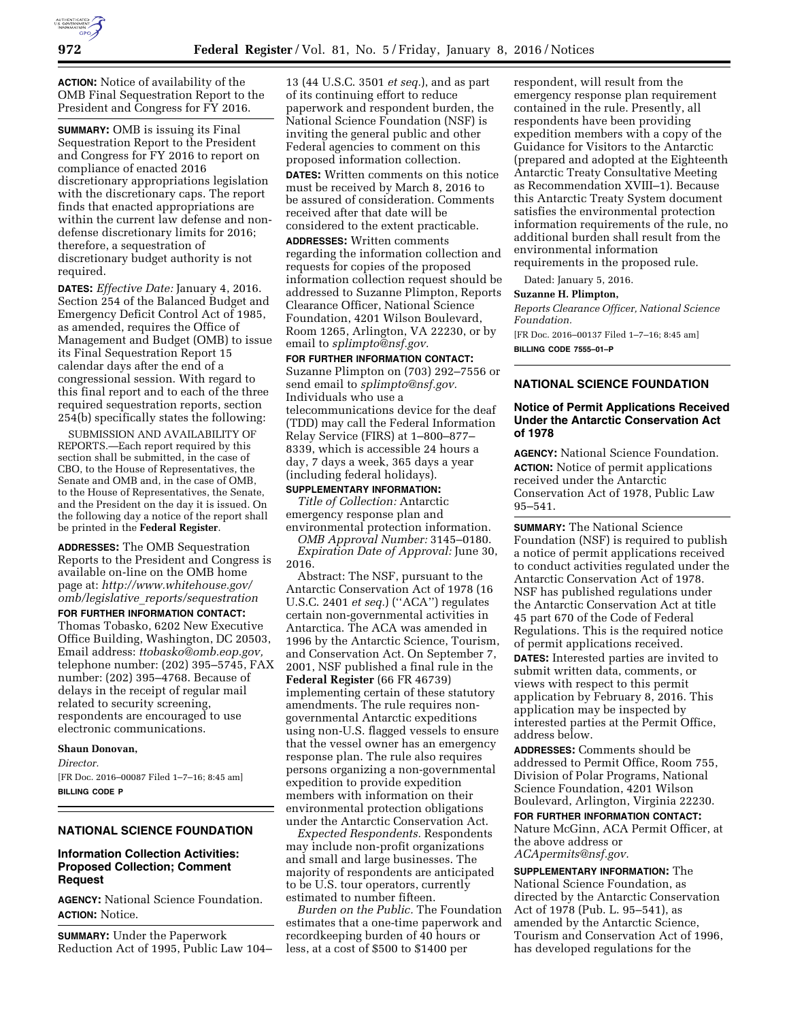

**ACTION:** Notice of availability of the OMB Final Sequestration Report to the President and Congress for FY 2016.

**SUMMARY:** OMB is issuing its Final Sequestration Report to the President and Congress for FY 2016 to report on compliance of enacted 2016 discretionary appropriations legislation with the discretionary caps. The report finds that enacted appropriations are within the current law defense and nondefense discretionary limits for 2016; therefore, a sequestration of discretionary budget authority is not required.

**DATES:** *Effective Date:* January 4, 2016. Section 254 of the Balanced Budget and Emergency Deficit Control Act of 1985, as amended, requires the Office of Management and Budget (OMB) to issue its Final Sequestration Report 15 calendar days after the end of a congressional session. With regard to this final report and to each of the three required sequestration reports, section 254(b) specifically states the following:

SUBMISSION AND AVAILABILITY OF REPORTS.—Each report required by this section shall be submitted, in the case of CBO, to the House of Representatives, the Senate and OMB and, in the case of OMB, to the House of Representatives, the Senate, and the President on the day it is issued. On the following day a notice of the report shall be printed in the **Federal Register**.

**ADDRESSES:** The OMB Sequestration Reports to the President and Congress is available on-line on the OMB home page at: *[http://www.whitehouse.gov/](http://www.whitehouse.gov/omb/legislative_reports/sequestration)  omb/legislative*\_*[reports/sequestration](http://www.whitehouse.gov/omb/legislative_reports/sequestration)* 

**FOR FURTHER INFORMATION CONTACT:**  Thomas Tobasko, 6202 New Executive Office Building, Washington, DC 20503, Email address: *[ttobasko@omb.eop.gov,](mailto:ttobasko@omb.eop.gov)*  telephone number: (202) 395–5745, FAX number: (202) 395–4768. Because of delays in the receipt of regular mail related to security screening, respondents are encouraged to use electronic communications.

#### **Shaun Donovan,**

*Director.* 

[FR Doc. 2016–00087 Filed 1–7–16; 8:45 am] **BILLING CODE P** 

# **NATIONAL SCIENCE FOUNDATION**

## **Information Collection Activities: Proposed Collection; Comment Request**

**AGENCY:** National Science Foundation. **ACTION:** Notice.

**SUMMARY:** Under the Paperwork Reduction Act of 1995, Public Law 104– 13 (44 U.S.C. 3501 *et seq.*), and as part of its continuing effort to reduce paperwork and respondent burden, the National Science Foundation (NSF) is inviting the general public and other Federal agencies to comment on this proposed information collection.

**DATES:** Written comments on this notice must be received by March 8, 2016 to be assured of consideration. Comments received after that date will be considered to the extent practicable.

**ADDRESSES:** Written comments regarding the information collection and requests for copies of the proposed information collection request should be addressed to Suzanne Plimpton, Reports Clearance Officer, National Science Foundation, 4201 Wilson Boulevard, Room 1265, Arlington, VA 22230, or by email to *[splimpto@nsf.gov.](mailto:splimpto@nsf.gov)* 

**FOR FURTHER INFORMATION CONTACT:**  Suzanne Plimpton on (703) 292–7556 or send email to *[splimpto@nsf.gov.](mailto:splimpto@nsf.gov)*  Individuals who use a telecommunications device for the deaf (TDD) may call the Federal Information Relay Service (FIRS) at 1–800–877– 8339, which is accessible 24 hours a day, 7 days a week, 365 days a year (including federal holidays).

**SUPPLEMENTARY INFORMATION:**  *Title of Collection:* Antarctic emergency response plan and environmental protection information.

*OMB Approval Number:* 3145–0180. *Expiration Date of Approval:* June 30, 2016.

Abstract: The NSF, pursuant to the Antarctic Conservation Act of 1978 (16 U.S.C. 2401 *et seq.*) (''ACA'') regulates certain non-governmental activities in Antarctica. The ACA was amended in 1996 by the Antarctic Science, Tourism, and Conservation Act. On September 7, 2001, NSF published a final rule in the **Federal Register** (66 FR 46739) implementing certain of these statutory amendments. The rule requires nongovernmental Antarctic expeditions using non-U.S. flagged vessels to ensure that the vessel owner has an emergency response plan. The rule also requires persons organizing a non-governmental expedition to provide expedition members with information on their environmental protection obligations under the Antarctic Conservation Act.

*Expected Respondents.* Respondents may include non-profit organizations and small and large businesses. The majority of respondents are anticipated to be U.S. tour operators, currently estimated to number fifteen.

*Burden on the Public.* The Foundation estimates that a one-time paperwork and recordkeeping burden of 40 hours or less, at a cost of \$500 to \$1400 per

respondent, will result from the emergency response plan requirement contained in the rule. Presently, all respondents have been providing expedition members with a copy of the Guidance for Visitors to the Antarctic (prepared and adopted at the Eighteenth Antarctic Treaty Consultative Meeting as Recommendation XVIII–1). Because this Antarctic Treaty System document satisfies the environmental protection information requirements of the rule, no additional burden shall result from the environmental information requirements in the proposed rule.

Dated: January 5, 2016.

**Suzanne H. Plimpton,** 

*Reports Clearance Officer, National Science Foundation.* 

[FR Doc. 2016–00137 Filed 1–7–16; 8:45 am] **BILLING CODE 7555–01–P** 

### **NATIONAL SCIENCE FOUNDATION**

#### **Notice of Permit Applications Received Under the Antarctic Conservation Act of 1978**

**AGENCY:** National Science Foundation. **ACTION:** Notice of permit applications received under the Antarctic Conservation Act of 1978, Public Law 95–541.

**SUMMARY:** The National Science Foundation (NSF) is required to publish a notice of permit applications received to conduct activities regulated under the Antarctic Conservation Act of 1978. NSF has published regulations under the Antarctic Conservation Act at title 45 part 670 of the Code of Federal Regulations. This is the required notice of permit applications received. **DATES:** Interested parties are invited to submit written data, comments, or views with respect to this permit application by February 8, 2016. This application may be inspected by interested parties at the Permit Office, address below.

**ADDRESSES:** Comments should be addressed to Permit Office, Room 755, Division of Polar Programs, National Science Foundation, 4201 Wilson Boulevard, Arlington, Virginia 22230.

#### **FOR FURTHER INFORMATION CONTACT:**

Nature McGinn, ACA Permit Officer, at the above address or *[ACApermits@nsf.gov.](mailto:ACApermits@nsf.gov)* 

**SUPPLEMENTARY INFORMATION:** The National Science Foundation, as directed by the Antarctic Conservation Act of 1978 (Pub. L. 95–541), as amended by the Antarctic Science, Tourism and Conservation Act of 1996, has developed regulations for the